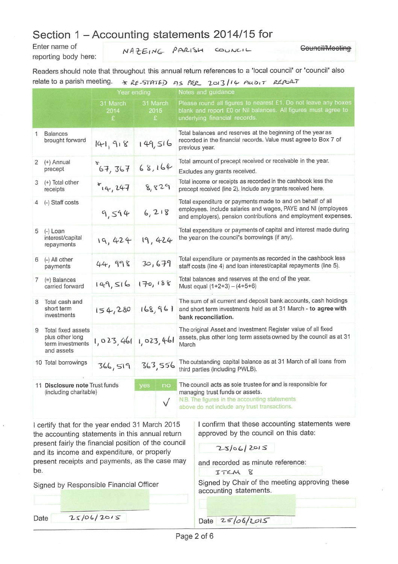### Section 1 - Accounting statements 2014/15 for

Enter name of reporting body here:

NAZEING PARISH

COUNCIL

Counoil/Mooting

Readers should note that throughout this annual return references to a 'local council' or 'council' also relate to a parish meeting.  $\star$  RE-STATED AS REP 2013/14 AUDIT REPORT

|                                                          | Year ending                                                             |                       |                        |                       | Notes and guidance                                                                                                                                                                              |  |  |  |  |  |  |
|----------------------------------------------------------|-------------------------------------------------------------------------|-----------------------|------------------------|-----------------------|-------------------------------------------------------------------------------------------------------------------------------------------------------------------------------------------------|--|--|--|--|--|--|
|                                                          |                                                                         | 31 March<br>2014<br>£ |                        | 31 March<br>2015<br>E | Please round all figures to nearest £1. Do not leave any boxes<br>blank and report £0 or Nil balances. All figures must agree to<br>underlying financial records.                               |  |  |  |  |  |  |
| 1                                                        | <b>Balances</b><br>brought forward                                      | 141, 918              | 149,516                |                       | Total balances and reserves at the beginning of the year as<br>recorded in the financial records. Value must agree to Box 7 of<br>previous year.                                                |  |  |  |  |  |  |
| 2                                                        | (+) Annual<br>precept                                                   | $*_{67,367}$          | 68,164                 |                       | Total amount of precept received or receivable in the year.<br>Excludes any grants received.                                                                                                    |  |  |  |  |  |  |
| 3                                                        | (+) Total other<br>receipts                                             | $x_{14}$ , 247        | 8,829                  |                       | Total income or receipts as recorded in the cashbook less the<br>precept received (line 2). Include any grants received here.                                                                   |  |  |  |  |  |  |
|                                                          | (-) Staff costs                                                         | 9,594                 | 6,218                  |                       | Total expenditure or payments made to and on behalf of all<br>employees. Include salaries and wages, PAYE and NI (employees<br>and employers), pension contributions and employment expenses.   |  |  |  |  |  |  |
| 5                                                        | (-) Loan<br>interest/capital<br>repayments                              | 19,424                | 19,424                 |                       | Total expenditure or payments of capital and interest made during<br>the year on the council's borrowings (if any).                                                                             |  |  |  |  |  |  |
| 6                                                        | (-) All other<br>payments                                               | 44, 998               | 30,679                 |                       | Total expenditure or payments as recorded in the cashbook less<br>staff costs (line 4) and loan interest/capital repayments (line 5).                                                           |  |  |  |  |  |  |
| 7                                                        | (=) Balances<br>carried forward                                         | 149,516               | 170,188                |                       | Total balances and reserves at the end of the year.<br>Must equal $(1+2+3) - (4+5+6)$                                                                                                           |  |  |  |  |  |  |
| 8                                                        | Total cash and<br>short term<br>investments                             | 154,280               | 168,961                |                       | The sum of all current and deposit bank accounts, cash holdings<br>and short term investments held as at 31 March - to agree with<br>bank reconciliation.                                       |  |  |  |  |  |  |
| 9                                                        | Total fixed assets<br>plus other long<br>term investments<br>and assets | 1,023,461 1,023,461   |                        |                       | The original Asset and Investment Register value of all fixed<br>assets, plus other long term assets owned by the council as at 31<br>March                                                     |  |  |  |  |  |  |
|                                                          | 10 Total borrowings                                                     | 366,519               | 363,556                |                       | The outstanding capital balance as at 31 March of all loans from<br>third parties (including PWLB).                                                                                             |  |  |  |  |  |  |
| 11 Disclosure note Trust funds<br>(including charitable) |                                                                         |                       | yes<br>no<br>$\sqrt{}$ |                       | The council acts as sole trustee for and is responsible for<br>managing trust funds or assets.<br>N.B. The figures in the accounting statements<br>above do not include any trust transactions. |  |  |  |  |  |  |

I certify that for the year ended 31 March 2015 the accounting statements in this annual return present fairly the financial position of the council and its income and expenditure, or properly present receipts and payments, as the case may be.

Signed by Responsible Financial Officer

I confirm that these accounting statements were approved by the council on this date:

and recorded as minute reference:

ITEM 8

Signed by Chair of the meeting approving these accounting statements.

Date  $25/06/2015$  Date  $25/06/2015$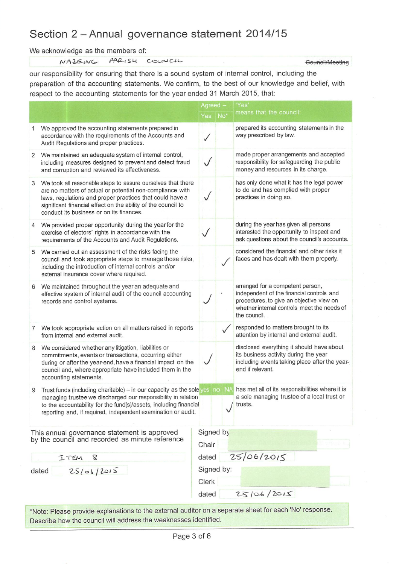# Section 2 - Annual governance statement 2014/15

We acknowledge as the members of:

NAZEING PARISH COUNCIL

our responsibility for ensuring that there is a sound system of internal control, including the preparation of the accounting statements. We confirm, to the best of our knowledge and belief, with respect to the accounting statements for the year ended 31 March 2015, that:

|                                                                                                 | Agreed -                                                                                                                                                                                                                                                                                                                          |         | 'Yes               |                                                                                                                                                                                          |
|-------------------------------------------------------------------------------------------------|-----------------------------------------------------------------------------------------------------------------------------------------------------------------------------------------------------------------------------------------------------------------------------------------------------------------------------------|---------|--------------------|------------------------------------------------------------------------------------------------------------------------------------------------------------------------------------------|
|                                                                                                 |                                                                                                                                                                                                                                                                                                                                   | Yes No* |                    | means that the council:                                                                                                                                                                  |
| 1                                                                                               | We approved the accounting statements prepared in<br>accordance with the requirements of the Accounts and<br>Audit Regulations and proper practices.                                                                                                                                                                              |         |                    | prepared its accounting statements in the<br>way prescribed by law.                                                                                                                      |
| 2                                                                                               | We maintained an adequate system of internal control,<br>including measures designed to prevent and detect fraud<br>and corruption and reviewed its effectiveness.                                                                                                                                                                |         |                    | made proper arrangements and accepted<br>responsibility for safeguarding the public<br>money and resources in its charge.                                                                |
| 3                                                                                               | We took all reasonable steps to assure ourselves that there<br>are no matters of actual or potential non-compliance with<br>laws, regulations and proper practices that could have a<br>significant financial effect on the ability of the council to<br>conduct its business or on its finances.                                 |         |                    | has only done what it has the legal power<br>to do and has complied with proper<br>practices in doing so.                                                                                |
| 4                                                                                               | We provided proper opportunity during the year for the<br>exercise of electors' rights in accordance with the<br>requirements of the Accounts and Audit Regulations.                                                                                                                                                              |         |                    | during the year has given all persons<br>interested the opportunity to inspect and<br>ask questions about the council's accounts.                                                        |
| 5                                                                                               | We carried out an assessment of the risks facing the<br>council and took appropriate steps to manage those risks,<br>including the introduction of internal controls and/or<br>external insurance cover where required.                                                                                                           |         |                    | considered the financial and other risks it<br>faces and has dealt with them properly.                                                                                                   |
| 6                                                                                               | We maintained throughout the year an adequate and<br>effective system of internal audit of the council accounting<br>records and control systems.                                                                                                                                                                                 |         |                    | arranged for a competent person,<br>independent of the financial controls and<br>procedures, to give an objective view on<br>whether internal controls meet the needs of<br>the council. |
| 7                                                                                               | We took appropriate action on all matters raised in reports<br>from internal and external audit.                                                                                                                                                                                                                                  |         |                    | responded to matters brought to its<br>attention by internal and external audit.                                                                                                         |
| 8                                                                                               | We considered whether any litigation, liabilities or<br>commitments, events or transactions, occurring either<br>during or after the year-end, have a financial impact on the<br>council and, where appropriate have included them in the<br>accounting statements.                                                               |         |                    | disclosed everything it should have about<br>its business activity during the year<br>including events taking place after the year-<br>end if relevant.                                  |
| 9                                                                                               | Trust funds (including charitable) - in our capacity as the sole yes no NA has met all of its responsibilities where it is<br>managing trustee we discharged our responsibility in relation<br>to the accountability for the fund(s)/assets, including financial<br>reporting and, if required, independent examination or audit. |         |                    | a sole managing trustee of a local trust or<br>/ trusts.                                                                                                                                 |
| This annual governance statement is approved<br>by the council and recorded as minute reference |                                                                                                                                                                                                                                                                                                                                   |         | Signed by<br>Chair |                                                                                                                                                                                          |
| ITEM<br>8                                                                                       |                                                                                                                                                                                                                                                                                                                                   |         | dated              | 25/06/2015                                                                                                                                                                               |
| 25/06/2015<br>dated                                                                             |                                                                                                                                                                                                                                                                                                                                   |         | Signed by:         |                                                                                                                                                                                          |
|                                                                                                 |                                                                                                                                                                                                                                                                                                                                   |         | Clerk              |                                                                                                                                                                                          |
|                                                                                                 |                                                                                                                                                                                                                                                                                                                                   | dated   |                    | 25106/2015                                                                                                                                                                               |
|                                                                                                 |                                                                                                                                                                                                                                                                                                                                   |         |                    |                                                                                                                                                                                          |

\*Note: Please provide explanations to the external auditor on a separate sheet for each 'No' response. Describe how the council will address the weaknesses identified.